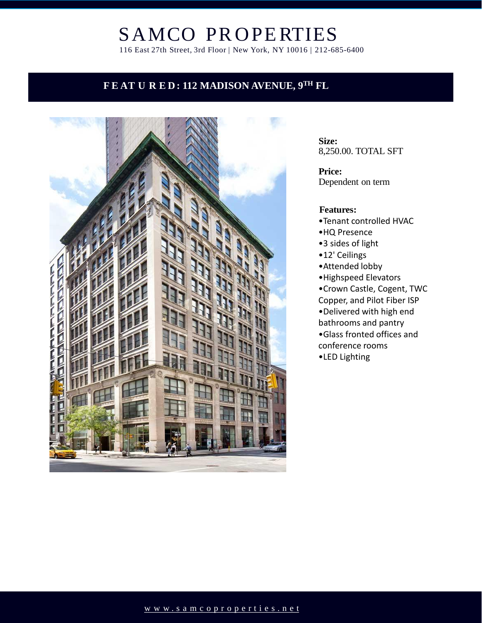# SAMCO PR OPERTIES

116 East 27th Street, 3rd Floor | New York, NY 10016 | 212-685-6400

### **F E AT U R E D: 112 MADISON AVENUE, 9TH FL**



**Size:**  8,250.00. TOTAL SFT

**Price:**  Dependent on term

#### **Features:**

- •Tenant controlled HVAC
- •HQ Presence
- •3 sides of light
- •12' Ceilings
- •Attended lobby
- •Highspeed Elevators
- •Crown Castle, Cogent, TWC Copper, and Pilot Fiber ISP •Delivered with high end bathrooms and pantry •Glass fronted offices and conference rooms
- •LED Lighting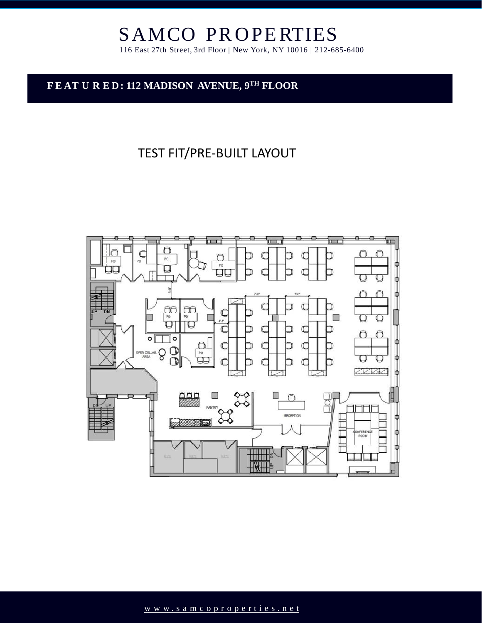# SAMCO PR OPERTIES

116 East 27th Street, 3rd Floor | New York, NY 10016 | 212-685-6400

#### **F E AT U R E D: 112 MADISON AVENUE, 9TH FLOOR**

## TEST FIT/PRE-BUILT LAYOUT

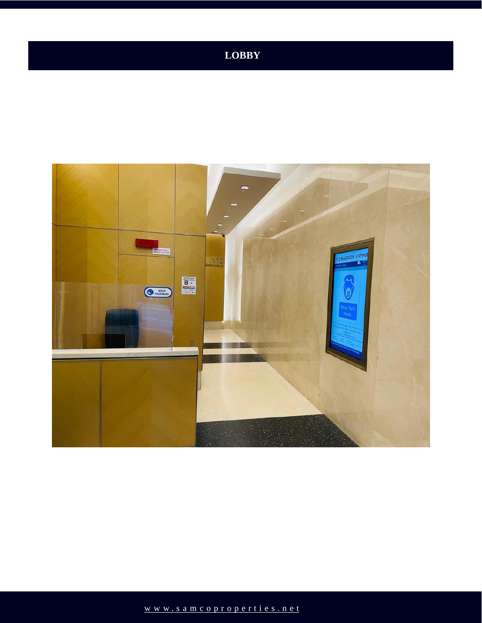## **LOBBY**

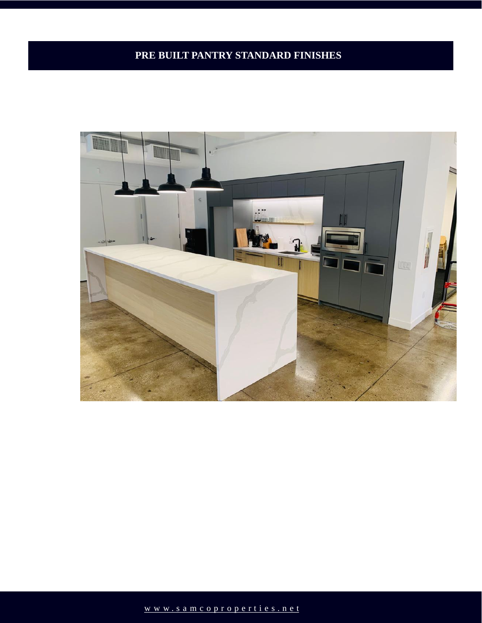## **PRE BUILT PANTRY STANDARD FINISHES**

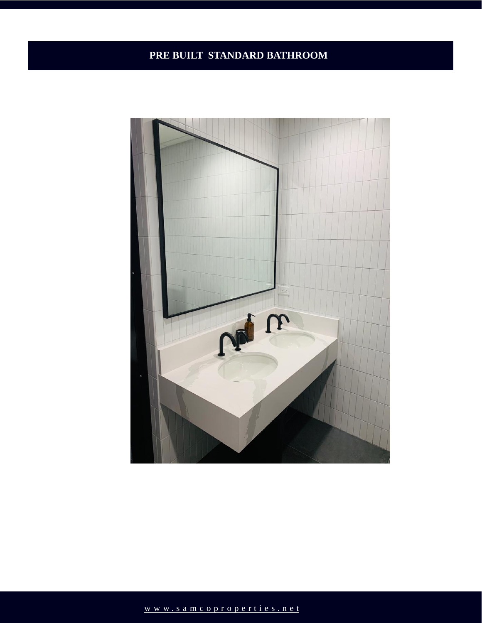#### **PRE BUILT STANDARD BATHROOM**

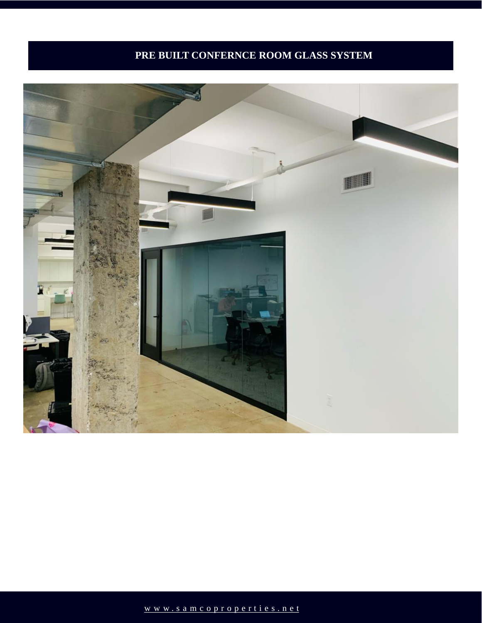### **PRE BUILT CONFERNCE ROOM GLASS SYSTEM**

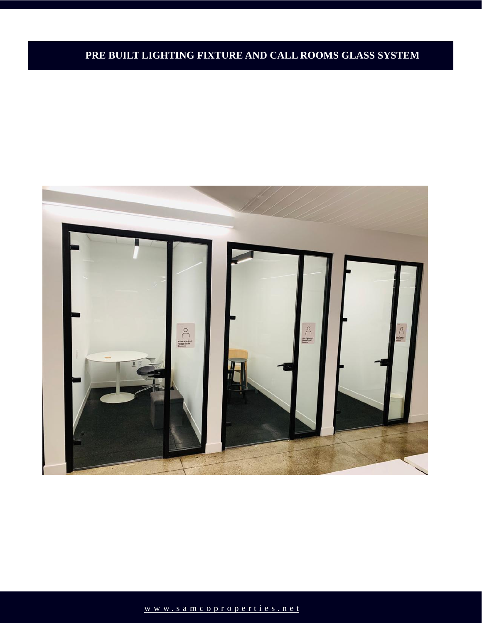#### **PRE BUILT LIGHTING FIXTURE AND CALL ROOMS GLASS SYSTEM**